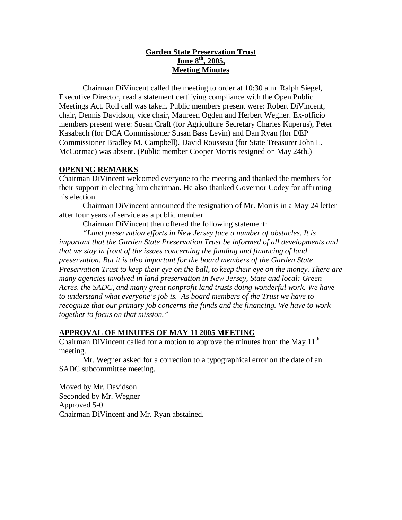# **Garden State Preservation Trust June 8th, 2005, Meeting Minutes**

Chairman DiVincent called the meeting to order at 10:30 a.m. Ralph Siegel, Executive Director, read a statement certifying compliance with the Open Public Meetings Act. Roll call was taken. Public members present were: Robert DiVincent, chair, Dennis Davidson, vice chair, Maureen Ogden and Herbert Wegner. Ex-officio members present were: Susan Craft (for Agriculture Secretary Charles Kuperus), Peter Kasabach (for DCA Commissioner Susan Bass Levin) and Dan Ryan (for DEP Commissioner Bradley M. Campbell). David Rousseau (for State Treasurer John E. McCormac) was absent. (Public member Cooper Morris resigned on May 24th.)

# **OPENING REMARKS**

Chairman DiVincent welcomed everyone to the meeting and thanked the members for their support in electing him chairman. He also thanked Governor Codey for affirming his election.

Chairman DiVincent announced the resignation of Mr. Morris in a May 24 letter after four years of service as a public member.

Chairman DiVincent then offered the following statement:

*"Land preservation efforts in New Jersey face a number of obstacles. It is important that the Garden State Preservation Trust be informed of all developments and that we stay in front of the issues concerning the funding and financing of land preservation. But it is also important for the board members of the Garden State Preservation Trust to keep their eye on the ball, to keep their eye on the money. There are many agencies involved in land preservation in New Jersey, State and local: Green Acres, the SADC, and many great nonprofit land trusts doing wonderful work. We have to understand what everyone's job is. As board members of the Trust we have to recognize that our primary job concerns the funds and the financing. We have to work together to focus on that mission."*

# **APPROVAL OF MINUTES OF MAY 11 2005 MEETING**

Chairman DiVincent called for a motion to approve the minutes from the May  $11<sup>th</sup>$ meeting.

Mr. Wegner asked for a correction to a typographical error on the date of an SADC subcommittee meeting.

Moved by Mr. Davidson Seconded by Mr. Wegner Approved 5-0 Chairman DiVincent and Mr. Ryan abstained.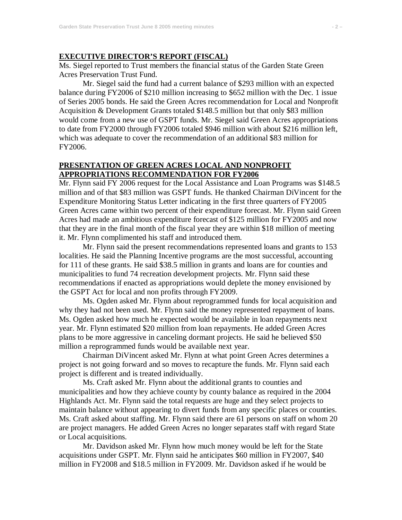#### **EXECUTIVE DIRECTOR'S REPORT (FISCAL)**

Ms. Siegel reported to Trust members the financial status of the Garden State Green Acres Preservation Trust Fund.

Mr. Siegel said the fund had a current balance of \$293 million with an expected balance during FY2006 of \$210 million increasing to \$652 million with the Dec. 1 issue of Series 2005 bonds. He said the Green Acres recommendation for Local and Nonprofit Acquisition & Development Grants totaled \$148.5 million but that only \$83 million would come from a new use of GSPT funds. Mr. Siegel said Green Acres appropriations to date from FY2000 through FY2006 totaled \$946 million with about \$216 million left, which was adequate to cover the recommendation of an additional \$83 million for FY2006.

## **PRESENTATION OF GREEN ACRES LOCAL AND NONPROFIT APPROPRIATIONS RECOMMENDATION FOR FY2006**

Mr. Flynn said FY 2006 request for the Local Assistance and Loan Programs was \$148.5 million and of that \$83 million was GSPT funds. He thanked Chairman DiVincent for the Expenditure Monitoring Status Letter indicating in the first three quarters of FY2005 Green Acres came within two percent of their expenditure forecast. Mr. Flynn said Green Acres had made an ambitious expenditure forecast of \$125 million for FY2005 and now that they are in the final month of the fiscal year they are within \$18 million of meeting it. Mr. Flynn complimented his staff and introduced them.

Mr. Flynn said the present recommendations represented loans and grants to 153 localities. He said the Planning Incentive programs are the most successful, accounting for 111 of these grants. He said \$38.5 million in grants and loans are for counties and municipalities to fund 74 recreation development projects. Mr. Flynn said these recommendations if enacted as appropriations would deplete the money envisioned by the GSPT Act for local and non profits through FY2009.

Ms. Ogden asked Mr. Flynn about reprogrammed funds for local acquisition and why they had not been used. Mr. Flynn said the money represented repayment of loans. Ms. Ogden asked how much he expected would be available in loan repayments next year. Mr. Flynn estimated \$20 million from loan repayments. He added Green Acres plans to be more aggressive in canceling dormant projects. He said he believed \$50 million a reprogrammed funds would be available next year.

Chairman DiVincent asked Mr. Flynn at what point Green Acres determines a project is not going forward and so moves to recapture the funds. Mr. Flynn said each project is different and is treated individually.

Ms. Craft asked Mr. Flynn about the additional grants to counties and municipalities and how they achieve county by county balance as required in the 2004 Highlands Act. Mr. Flynn said the total requests are huge and they select projects to maintain balance without appearing to divert funds from any specific places or counties. Ms. Craft asked about staffing. Mr. Flynn said there are 61 persons on staff on whom 20 are project managers. He added Green Acres no longer separates staff with regard State or Local acquisitions.

Mr. Davidson asked Mr. Flynn how much money would be left for the State acquisitions under GSPT. Mr. Flynn said he anticipates \$60 million in FY2007, \$40 million in FY2008 and \$18.5 million in FY2009. Mr. Davidson asked if he would be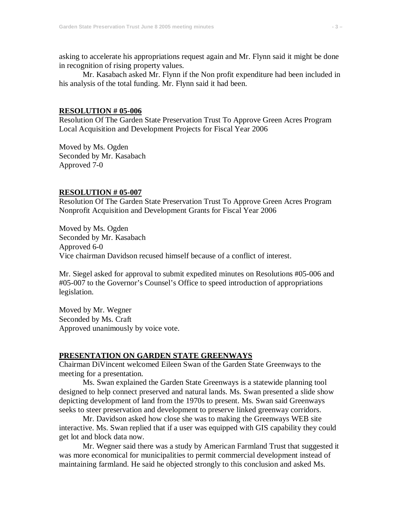asking to accelerate his appropriations request again and Mr. Flynn said it might be done in recognition of rising property values.

Mr. Kasabach asked Mr. Flynn if the Non profit expenditure had been included in his analysis of the total funding. Mr. Flynn said it had been.

#### **RESOLUTION # 05-006**

Resolution Of The Garden State Preservation Trust To Approve Green Acres Program Local Acquisition and Development Projects for Fiscal Year 2006

Moved by Ms. Ogden Seconded by Mr. Kasabach Approved 7-0

## **RESOLUTION # 05-007**

Resolution Of The Garden State Preservation Trust To Approve Green Acres Program Nonprofit Acquisition and Development Grants for Fiscal Year 2006

Moved by Ms. Ogden Seconded by Mr. Kasabach Approved 6-0 Vice chairman Davidson recused himself because of a conflict of interest.

Mr. Siegel asked for approval to submit expedited minutes on Resolutions #05-006 and #05-007 to the Governor's Counsel's Office to speed introduction of appropriations legislation.

Moved by Mr. Wegner Seconded by Ms. Craft Approved unanimously by voice vote.

#### **PRESENTATION ON GARDEN STATE GREENWAYS**

Chairman DiVincent welcomed Eileen Swan of the Garden State Greenways to the meeting for a presentation.

Ms. Swan explained the Garden State Greenways is a statewide planning tool designed to help connect preserved and natural lands. Ms. Swan presented a slide show depicting development of land from the 1970s to present. Ms. Swan said Greenways seeks to steer preservation and development to preserve linked greenway corridors.

Mr. Davidson asked how close she was to making the Greenways WEB site interactive. Ms. Swan replied that if a user was equipped with GIS capability they could get lot and block data now.

Mr. Wegner said there was a study by American Farmland Trust that suggested it was more economical for municipalities to permit commercial development instead of maintaining farmland. He said he objected strongly to this conclusion and asked Ms.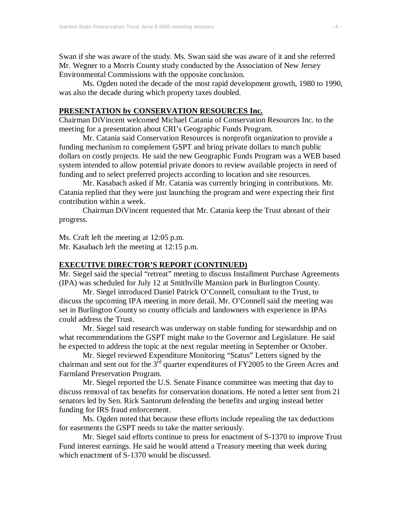Swan if she was aware of the study. Ms. Swan said she was aware of it and she referred Mr. Wegner to a Morris County study conducted by the Association of New Jersey Environmental Commissions with the opposite conclusion.

Ms. Ogden noted the decade of the most rapid development growth, 1980 to 1990, was also the decade during which property taxes doubled.

### **PRESENTATION by CONSERVATION RESOURCES Inc.**

Chairman DiVincent welcomed Michael Catania of Conservation Resources Inc. to the meeting for a presentation about CRI's Geographic Funds Program.

Mr. Catania said Conservation Resources is nonprofit organization to provide a funding mechanism to complement GSPT and bring private dollars to match public dollars on costly projects. He said the new Geographic Funds Program was a WEB based system intended to allow potential private donors to review available projects in need of funding and to select preferred projects according to location and site resources.

Mr. Kasabach asked if Mr. Catania was currently bringing in contributions. Mr. Catania replied that they were just launching the program and were expecting their first contribution within a week.

Chairman DiVincent requested that Mr. Catania keep the Trust abreast of their progress.

Ms. Craft left the meeting at 12:05 p.m. Mr. Kasabach left the meeting at 12:15 p.m.

## **EXECUTIVE DIRECTOR'S REPORT (CONTINUED)**

Mr. Siegel said the special "retreat" meeting to discuss Installment Purchase Agreements (IPA) was scheduled for July 12 at Smithville Mansion park in Burlington County.

Mr. Siegel introduced Daniel Patrick O'Connell, consultant to the Trust, to discuss the upcoming IPA meeting in more detail. Mr. O'Connell said the meeting was set in Burlington County so county officials and landowners with experience in IPAs could address the Trust.

Mr. Siegel said research was underway on stable funding for stewardship and on what recommendations the GSPT might make to the Governor and Legislature. He said he expected to address the topic at the next regular meeting in September or October.

Mr. Siegel reviewed Expenditure Monitoring "Status" Letters signed by the chairman and sent out for the  $3<sup>rd</sup>$  quarter expenditures of FY2005 to the Green Acres and Farmland Preservation Program.

Mr. Siegel reported the U.S. Senate Finance committee was meeting that day to discuss removal of tax benefits for conservation donations. He noted a letter sent from 21 senators led by Sen. Rick Santorum defending the benefits and urging instead better funding for IRS fraud enforcement.

Ms. Ogden noted that because these efforts include repealing the tax deductions for easements the GSPT needs to take the matter seriously.

Mr. Siegel said efforts continue to press for enactment of S-1370 to improve Trust Fund interest earnings. He said he would attend a Treasury meeting that week during which enactment of S-1370 would be discussed.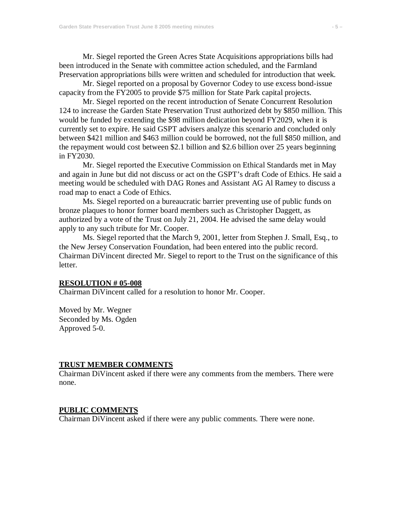Mr. Siegel reported the Green Acres State Acquisitions appropriations bills had been introduced in the Senate with committee action scheduled, and the Farmland Preservation appropriations bills were written and scheduled for introduction that week.

Mr. Siegel reported on a proposal by Governor Codey to use excess bond-issue capacity from the FY2005 to provide \$75 million for State Park capital projects.

Mr. Siegel reported on the recent introduction of Senate Concurrent Resolution 124 to increase the Garden State Preservation Trust authorized debt by \$850 million. This would be funded by extending the \$98 million dedication beyond FY2029, when it is currently set to expire. He said GSPT advisers analyze this scenario and concluded only between \$421 million and \$463 million could be borrowed, not the full \$850 million, and the repayment would cost between \$2.1 billion and \$2.6 billion over 25 years beginning in FY2030.

Mr. Siegel reported the Executive Commission on Ethical Standards met in May and again in June but did not discuss or act on the GSPT's draft Code of Ethics. He said a meeting would be scheduled with DAG Rones and Assistant AG Al Ramey to discuss a road map to enact a Code of Ethics.

Ms. Siegel reported on a bureaucratic barrier preventing use of public funds on bronze plaques to honor former board members such as Christopher Daggett, as authorized by a vote of the Trust on July 21, 2004. He advised the same delay would apply to any such tribute for Mr. Cooper.

Ms. Siegel reported that the March 9, 2001, letter from Stephen J. Small, Esq., to the New Jersey Conservation Foundation, had been entered into the public record. Chairman DiVincent directed Mr. Siegel to report to the Trust on the significance of this letter.

#### **RESOLUTION # 05-008**

Chairman DiVincent called for a resolution to honor Mr. Cooper.

Moved by Mr. Wegner Seconded by Ms. Ogden Approved 5-0.

#### **TRUST MEMBER COMMENTS**

Chairman DiVincent asked if there were any comments from the members. There were none.

### **PUBLIC COMMENTS**

Chairman DiVincent asked if there were any public comments. There were none.